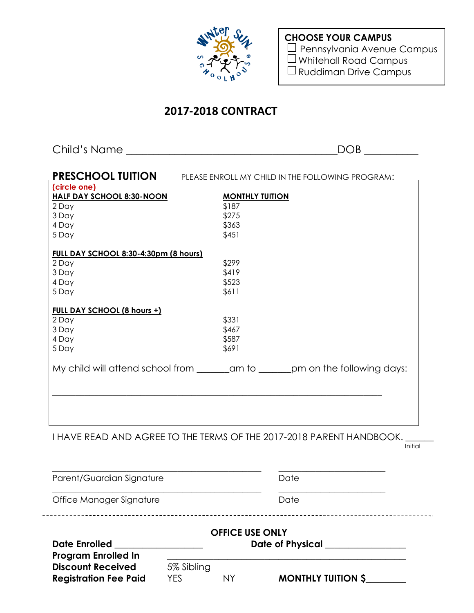

**CHOOSE YOUR CAMPUS** □ Pennsylvania Avenue Campus Whitehall Road Campus Ruddiman Drive Campus

# **2017-2018 CONTRACT**

Child's Name \_\_\_\_\_\_\_\_\_\_\_\_\_\_\_\_\_\_\_\_\_\_\_\_\_\_\_\_\_\_\_\_\_\_\_\_\_\_\_DOB \_\_\_\_\_\_\_\_\_\_

| <b>PRESCHOOL TUITION</b>              | PLEASE ENROLL MY CHILD IN THE FOLLOWING PROGRAM: |  |
|---------------------------------------|--------------------------------------------------|--|
| (circle one)                          |                                                  |  |
| <b>HALF DAY SCHOOL 8:30-NOON</b>      | <b>MONTHLY TUITION</b>                           |  |
| 2 Day                                 | \$187                                            |  |
| 3 Day                                 | \$275                                            |  |
| 4 Day                                 | \$363                                            |  |
| 5 Day                                 | \$451                                            |  |
| FULL DAY SCHOOL 8:30-4:30pm (8 hours) |                                                  |  |
| 2 Day                                 | \$299                                            |  |
| 3 Day                                 | \$419                                            |  |
| 4 Day                                 | \$523                                            |  |
| 5 Day                                 | \$611                                            |  |
| <b>FULL DAY SCHOOL (8 hours +)</b>    |                                                  |  |
| 2 Day                                 | \$331                                            |  |
| 3 Day                                 | \$467                                            |  |
| 4 Day                                 | \$587                                            |  |
| 5 Day                                 | \$691                                            |  |
|                                       |                                                  |  |
|                                       |                                                  |  |
|                                       |                                                  |  |
|                                       |                                                  |  |

I HAVE READ AND AGREE TO THE TERMS OF THE 2017-2018 PARENT HANDBOOK.

**Initial** 

| Parent/Guardian Signature  |                        | Date             |
|----------------------------|------------------------|------------------|
| Office Manager Signature   |                        | Date             |
|                            | <b>OFFICE USE ONLY</b> |                  |
| <b>Date Enrolled</b>       |                        | Date of Physical |
| <b>Program Enrolled In</b> |                        |                  |